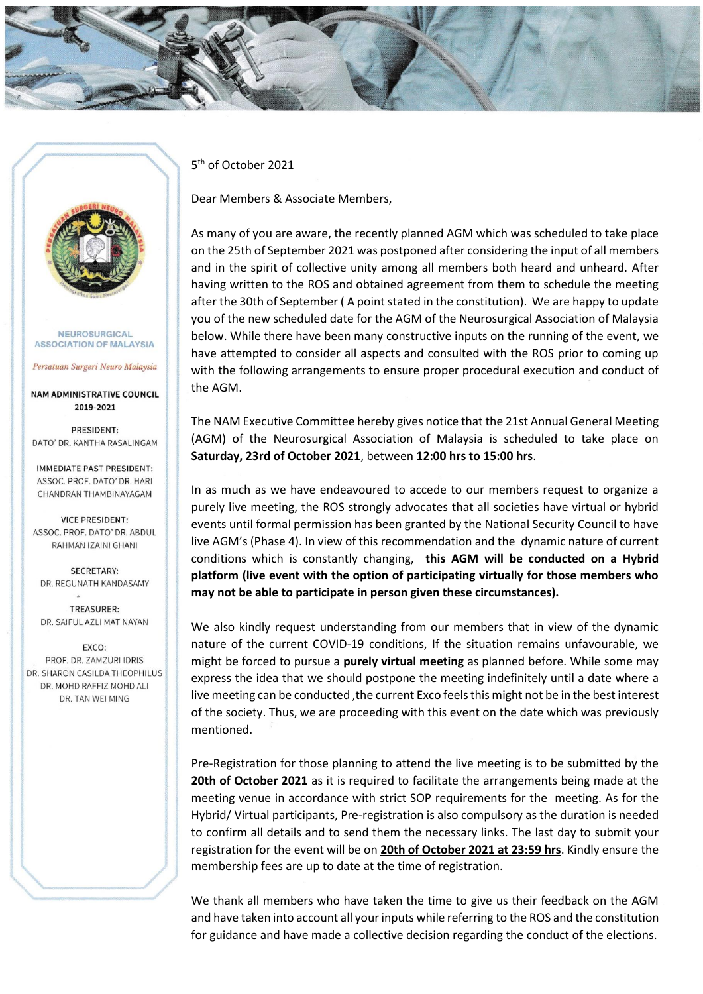



NEUROSURGICAL **ASSOCIATION OF MALAYSIA** 

Persatuan Surgeri Neuro Malaysia

**NAM ADMINISTRATIVE COUNCIL** 2019-2021

PRESIDENT: DATO' DR. KANTHA RASALINGAM

**IMMEDIATE PAST PRESIDENT:** ASSOC. PROF. DATO' DR. HARI CHANDRAN THAMBINAYAGAM

**VICE PRESIDENT:** ASSOC. PROF. DATO' DR. ABDUL RAHMAN IZAINI GHANI

**SECRETARY:** DR. REGUNATH KANDASAMY

TREASURER: DR. SAIFUL AZLI MAT NAYAN

**FXCO:** PROF. DR. ZAMZURI IDRIS DR. SHARON CASILDA THEOPHILUS DR. MOHD RAFFIZ MOHD ALL DR. TAN WEI MING

5 th of October 2021

Dear Members & Associate Members,

As many of you are aware, the recently planned AGM which was scheduled to take place on the 25th of September 2021 was postponed after considering the input of all members and in the spirit of collective unity among all members both heard and unheard. After having written to the ROS and obtained agreement from them to schedule the meeting after the 30th of September ( A point stated in the constitution). We are happy to update you of the new scheduled date for the AGM of the Neurosurgical Association of Malaysia below. While there have been many constructive inputs on the running of the event, we have attempted to consider all aspects and consulted with the ROS prior to coming up with the following arrangements to ensure proper procedural execution and conduct of the AGM.

The NAM Executive Committee hereby gives notice that the 21st Annual General Meeting (AGM) of the Neurosurgical Association of Malaysia is scheduled to take place on **Saturday, 23rd of October 2021**, between **12:00 hrs to 15:00 hrs**.

In as much as we have endeavoured to accede to our members request to organize a purely live meeting, the ROS strongly advocates that all societies have virtual or hybrid events until formal permission has been granted by the National Security Council to have live AGM's (Phase 4). In view of this recommendation and the dynamic nature of current conditions which is constantly changing, **this AGM will be conducted on a Hybrid platform (live event with the option of participating virtually for those members who may not be able to participate in person given these circumstances).**

We also kindly request understanding from our members that in view of the dynamic nature of the current COVID-19 conditions, If the situation remains unfavourable, we might be forced to pursue a **purely virtual meeting** as planned before. While some may express the idea that we should postpone the meeting indefinitely until a date where a live meeting can be conducted ,the current Exco feels this might not be in the best interest of the society. Thus, we are proceeding with this event on the date which was previously mentioned.

Pre-Registration for those planning to attend the live meeting is to be submitted by the **20th of October 2021** as it is required to facilitate the arrangements being made at the meeting venue in accordance with strict SOP requirements for the meeting. As for the Hybrid/ Virtual participants, Pre-registration is also compulsory as the duration is needed to confirm all details and to send them the necessary links. The last day to submit your registration for the event will be on **20th of October 2021 at 23:59 hrs**. Kindly ensure the membership fees are up to date at the time of registration.

We thank all members who have taken the time to give us their feedback on the AGM and have taken into account all your inputs while referring to the ROS and the constitution for guidance and have made a collective decision regarding the conduct of the elections.